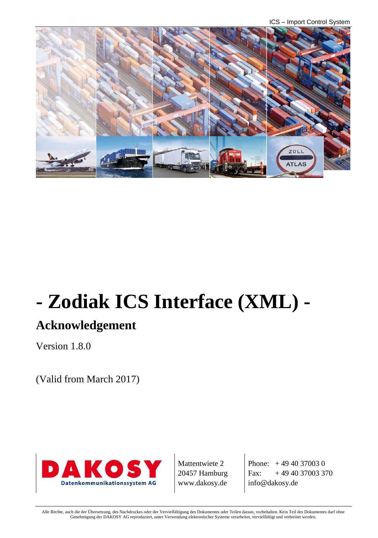ICS – Import Control System



# **- Zodiak ICS Interface (XML) -**

# **Acknowledgement**

Version 1.8.0

(Valid from March 2017)



Mattentwiete 2 20457 Hamburg www.dakosy.de

Phone: + 49 40 37003 0 Fax:  $+494037003370$ info@dakosy.de

Alle Rechte, auch die der Übersetzung, des Nachdruckes oder der Vervielfältigung des Dokumentes oder Teilen daraus, vorbehalten. Kein Teil des Dokumentes darf ohne Genehmigung der DAKOSY AG reproduziert, unter Verwendung elektronischer Systeme verarbeitet, vervielfältigt und verbreitet werden.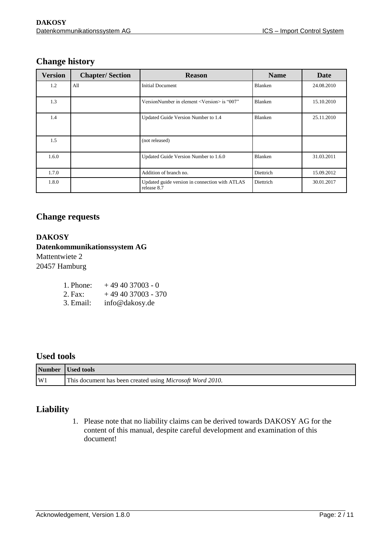## **Change history**

| <b>Version</b> | <b>Chapter/Section</b> | <b>Reason</b>                                                 | <b>Name</b>    | Date       |
|----------------|------------------------|---------------------------------------------------------------|----------------|------------|
| 1.2            | All                    | <b>Initial Document</b>                                       | Blanken        | 24.08.2010 |
| 1.3            |                        | VersionNumber in element <version> is "007"</version>         | <b>Blanken</b> | 15.10.2010 |
| 1.4            |                        | Updated Guide Version Number to 1.4                           | <b>Blanken</b> | 25.11.2010 |
| 1.5            |                        | (not released)                                                |                |            |
| 1.6.0          |                        | Updated Guide Version Number to 1.6.0                         | <b>Blanken</b> | 31.03.2011 |
| 1.7.0          |                        | Addition of branch no.                                        | Diettrich      | 15.09.2012 |
| 1.8.0          |                        | Updated guide version in connection with ATLAS<br>release 8.7 | Diettrich      | 30.01.2017 |

## **Change requests**

#### **DAKOSY**

**Datenkommunikationssystem AG** 

Mattentwiete 2 20457 Hamburg

| 1. Phone: | $+494037003 - 0$   |
|-----------|--------------------|
| $2.$ Fax: | $+494037003 - 370$ |
| 3. Email: | info@dakosy.de     |

## **Used tools**

|                | Number Used tools                                                 |
|----------------|-------------------------------------------------------------------|
| W <sup>1</sup> | This document has been created using <i>Microsoft Word 2010</i> . |

## **Liability**

1. Please note that no liability claims can be derived towards DAKOSY AG for the content of this manual, despite careful development and examination of this document!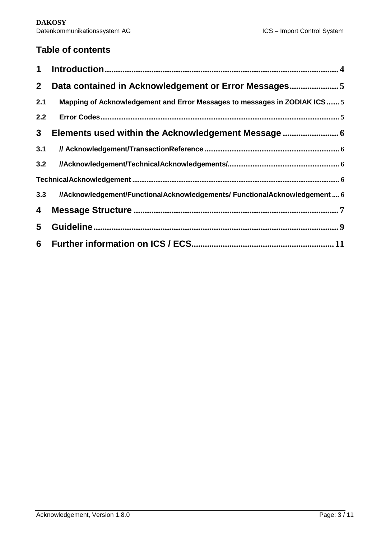## **Table of contents**

| $\mathbf 1$    |                                                                            |
|----------------|----------------------------------------------------------------------------|
| $\mathbf{2}$   | Data contained in Acknowledgement or Error Messages                        |
| 2.1            | Mapping of Acknowledgement and Error Messages to messages in ZODIAK ICS  5 |
| 2.2            |                                                                            |
| 3              |                                                                            |
| 3.1            |                                                                            |
| 3.2            |                                                                            |
|                |                                                                            |
| 3.3            | //Acknowledgement/FunctionalAcknowledgements/ FunctionalAcknowledgement 6  |
| 4              |                                                                            |
| 5              |                                                                            |
| 6 <sup>1</sup> |                                                                            |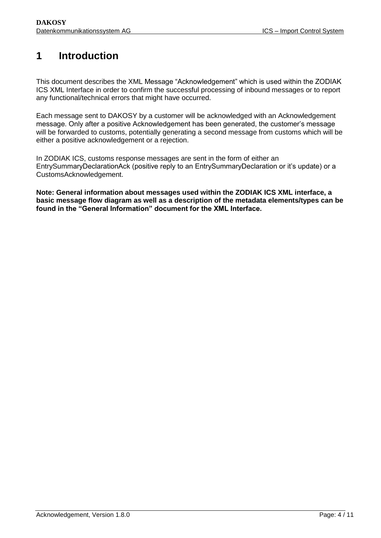# <span id="page-3-0"></span>**1 Introduction**

This document describes the XML Message "Acknowledgement" which is used within the ZODIAK ICS XML Interface in order to confirm the successful processing of inbound messages or to report any functional/technical errors that might have occurred.

Each message sent to DAKOSY by a customer will be acknowledged with an Acknowledgement message. Only after a positive Acknowledgement has been generated, the customer's message will be forwarded to customs, potentially generating a second message from customs which will be either a positive acknowledgement or a rejection.

In ZODIAK ICS, customs response messages are sent in the form of either an EntrySummaryDeclarationAck (positive reply to an EntrySummaryDeclaration or it's update) or a CustomsAcknowledgement.

**Note: General information about messages used within the ZODIAK ICS XML interface, a basic message flow diagram as well as a description of the metadata elements/types can be found in the "General Information" document for the XML Interface.**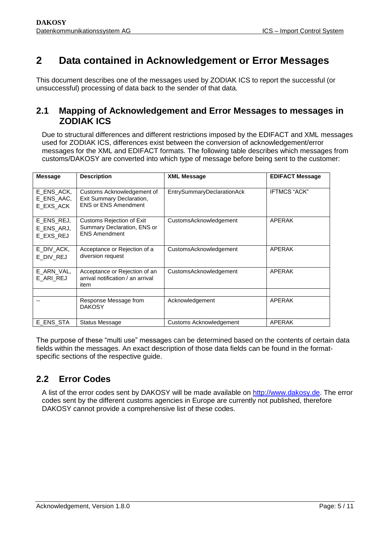# <span id="page-4-0"></span>**2 Data contained in Acknowledgement or Error Messages**

This document describes one of the messages used by ZODIAK ICS to report the successful (or unsuccessful) processing of data back to the sender of that data.

## <span id="page-4-1"></span>**2.1 Mapping of Acknowledgement and Error Messages to messages in ZODIAK ICS**

Due to structural differences and different restrictions imposed by the EDIFACT and XML messages used for ZODIAK ICS, differences exist between the conversion of acknowledgement/error messages for the XML and EDIFACT formats. The following table describes which messages from customs/DAKOSY are converted into which type of message before being sent to the customer:

| <b>Message</b>                        | <b>Description</b>                                                                      | <b>XML Message</b>                | <b>EDIFACT Message</b> |
|---------------------------------------|-----------------------------------------------------------------------------------------|-----------------------------------|------------------------|
| E ENS ACK,<br>E ENS AAC.<br>E EXS ACK | Customs Acknowledgement of<br>Exit Summary Declaration,<br><b>ENS or ENS Amendment</b>  | <b>EntrySummaryDeclarationAck</b> | <b>IFTMCS "ACK"</b>    |
| E_ENS_REJ,<br>E_ENS_ARJ,<br>E_EXS_REJ | <b>Customs Rejection of Exit</b><br>Summary Declaration, ENS or<br><b>ENS Amendment</b> | CustomsAcknowledgement            | APERAK                 |
| E DIV ACK,<br>E DIV REJ               | Acceptance or Rejection of a<br>diversion request                                       | CustomsAcknowledgement            | APERAK                 |
| E_ARN_VAL,<br>E_ARI_REJ               | Acceptance or Rejection of an<br>arrival notification / an arrival<br>item              | CustomsAcknowledgement            | APERAK                 |
|                                       |                                                                                         |                                   |                        |
|                                       | Response Message from<br><b>DAKOSY</b>                                                  | Acknowledgement                   | APERAK                 |
| E ENS STA                             | <b>Status Message</b>                                                                   | Customs Acknowledgement           | APERAK                 |

The purpose of these "multi use" messages can be determined based on the contents of certain data fields within the messages. An exact description of those data fields can be found in the formatspecific sections of the respective guide.

## <span id="page-4-2"></span>**2.2 Error Codes**

A list of the error codes sent by DAKOSY will be made available on [http://www.dakosy.de.](http://www.dakosy.de/) The error codes sent by the different customs agencies in Europe are currently not published, therefore DAKOSY cannot provide a comprehensive list of these codes.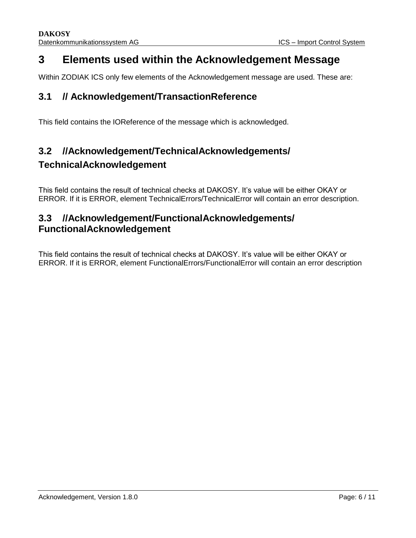## **3 Elements used within the Acknowledgement Message**

<span id="page-5-0"></span>Within ZODIAK ICS only few elements of the Acknowledgement message are used. These are:

## **3.1 // Acknowledgement/TransactionReference**

<span id="page-5-1"></span>This field contains the IOReference of the message which is acknowledged.

## **3.2 //Acknowledgement/TechnicalAcknowledgements/**

## **TechnicalAcknowledgement**

<span id="page-5-3"></span><span id="page-5-2"></span>This field contains the result of technical checks at DAKOSY. It's value will be either OKAY or ERROR. If it is ERROR, element TechnicalErrors/TechnicalError will contain an error description.

## **3.3 //Acknowledgement/FunctionalAcknowledgements/ FunctionalAcknowledgement**

<span id="page-5-4"></span>This field contains the result of technical checks at DAKOSY. It's value will be either OKAY or ERROR. If it is ERROR, element FunctionalErrors/FunctionalError will contain an error description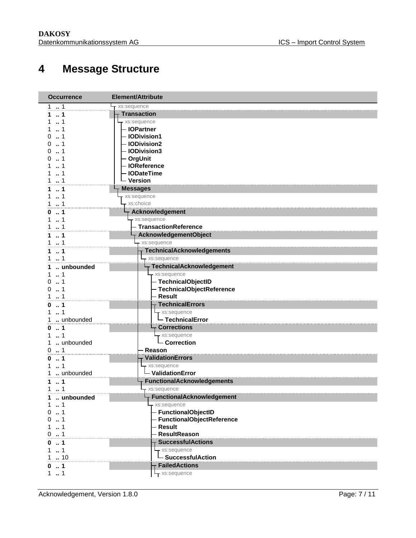# **Message Structure**

<span id="page-6-0"></span>

| <b>Occurrence</b>        | <b>Element/Attribute</b>                         |
|--------------------------|--------------------------------------------------|
| $\dots$ 1                | xs:sequence                                      |
| 1                        | <b>Transaction</b>                               |
| $\dots$ 1                | xs:sequence                                      |
| 1                        | - IOPartner                                      |
| $\dots$ 1                | - IODivision1                                    |
| 1<br>0                   | - IODivision2                                    |
| $\cdot$ 1<br>O           | - IODivision3                                    |
| $\cdot$ 1<br>ი           | - OrgUnit                                        |
| $\dots$ 1                | - IOReference                                    |
| $\dots$ 1                | - IODateTime                                     |
| 1                        | - Version                                        |
| 1                        | <b>Messages</b>                                  |
| $\dots$ 1                | xs:sequence                                      |
| $\dots$ 1                | xs:choice                                        |
| $\ldots$ 1<br>0          | <b>Acknowledgement</b>                           |
| 1<br>1                   | - xs:sequence                                    |
| 11                       | - TransactionReference                           |
| $\ldots$ 1               | <b>AcknowledgementObject</b>                     |
| $1 \t  1$                | xs:sequence                                      |
| 11                       | <b>TechnicalAcknowledgements</b>                 |
| 1                        | - xs:sequence                                    |
| unbounded                | $\overline{\mathsf{T}}$ TechnicalAcknowledgement |
| $\cdot$ 1                | - xs:sequence                                    |
| $\dots$ 1<br>0           | - TechnicalObjectID                              |
| $\dots$ 1<br>0           | - TechnicalObjectReference                       |
| $\ldots$ 1               | - Result                                         |
| $\ldots$ 1<br>o          | $-$ TechnicalErrors                              |
| 1<br>1                   | $-$ xs:sequence<br>- TechnicalError              |
| unbounded                |                                                  |
| $\dots$ 1<br>0           | <b>Corrections</b>                               |
| $\cdot$ 1<br>1           | - xs:sequence<br>- Correction                    |
| unbounded<br>1<br>1<br>0 | Reason                                           |
|                          | <b>ValidationErrors</b>                          |
| $\ldots$ 1<br>0<br>1     |                                                  |
| unbounded                | - xs:sequence<br>- ValidationError               |
|                          | - FunctionalAcknowledgements                     |
| 11                       |                                                  |
| 11                       | xs:sequence                                      |
| unbounded                | ⊤ FunctionalAcknowledgement                      |
| $\mathbf{1}$<br>1        | xs:sequence<br>- FunctionalObjectID              |
| 1<br>n                   | <b>FunctionalObjectReference</b>                 |
| 1                        | – Result                                         |
| 1<br>O                   | <b>ResultReason</b>                              |
| 1                        | <b>SuccessfulActions</b>                         |
| 1                        | - xs:sequence                                    |
| .10                      | - SuccessfulAction                               |
| 1<br>0                   | <b>FailedActions</b>                             |
| 11                       | - xs:sequence                                    |
|                          |                                                  |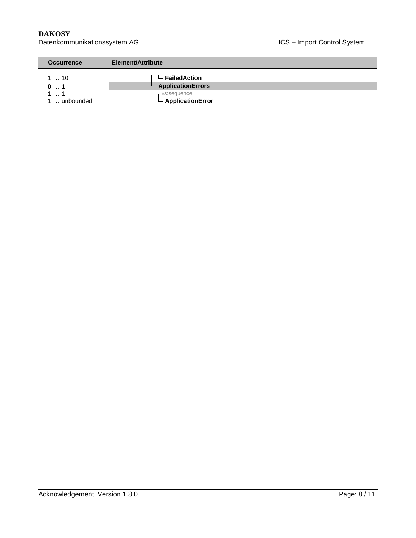#### **DAKOSY**<br>Datenkommunikationssystem AG<br>Datenkommunikationssystem AG<br>
Batenkommunikationssystem AG Datenkommunikationssystem AG

| <b>Occurrence</b> | Element/Attribute           |  |
|-------------------|-----------------------------|--|
| 10                | └─ FailedAction             |  |
| $\sim$            | $\vdash$ Application Errors |  |
| . 1               | xs:sequence                 |  |
| unbounded         | ApplicationError            |  |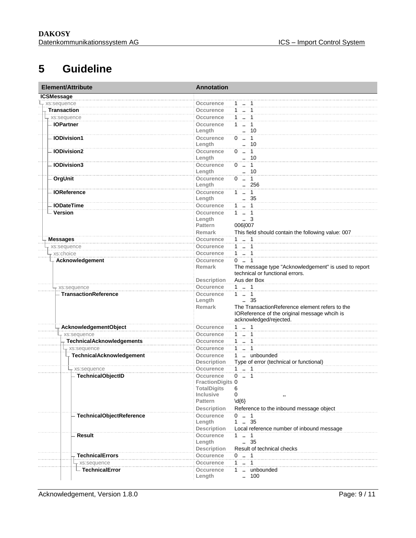# **5 Guideline**

<span id="page-8-0"></span>

| Element/Attribute                | <b>Annotation</b>                                                                                                                                                                             |  |
|----------------------------------|-----------------------------------------------------------------------------------------------------------------------------------------------------------------------------------------------|--|
| <b>ICSMessage</b>                |                                                                                                                                                                                               |  |
| xs:sequence                      | Occurence<br>$1 - 1$                                                                                                                                                                          |  |
| <b>Transaction</b>               | $1 \cdot 1$<br>Occurence                                                                                                                                                                      |  |
| xs:sequence                      | $1 - 1$<br><b>Occurence</b>                                                                                                                                                                   |  |
| - IOPartner                      | $1 \quad 1$<br>Occurence<br>. 10<br>Length                                                                                                                                                    |  |
| <b>IODivision1</b>               | $0 \t  1$<br>Occurence<br>. 10<br>Length                                                                                                                                                      |  |
| <b>IODivision2</b>               | <b>Occurence</b><br>$0 \t  1$<br>$\cdot$ 10<br>Length                                                                                                                                         |  |
| <b>IODivision3</b>               | $0 \t . 1$<br>Occurence<br>$\cdot$ 10<br>Length                                                                                                                                               |  |
| <b>OrgUnit</b>                   | $0 \t . 1$<br>Occurence<br>256<br>Length                                                                                                                                                      |  |
| <b>IOReference</b>               | Occurence<br>$1 \t  1$<br>. 35<br>Length                                                                                                                                                      |  |
| <b>IODateTime</b>                | $1 - 1$<br><b>Occurence</b>                                                                                                                                                                   |  |
| - Version                        | 11<br>Occurence<br>$\ldots$ 3<br>Length<br>006 007<br><b>Pattern</b><br>This field should contain the following value: 007<br>Remark                                                          |  |
| <b>Messages</b>                  | $1 - 1$<br>Occurence                                                                                                                                                                          |  |
| xs:sequence                      | $1 - 1$<br>Occurence                                                                                                                                                                          |  |
| xs:choice                        | 1  1<br><b>Occurence</b>                                                                                                                                                                      |  |
| Acknowledgement                  | $0 \t . 1$<br><b>Occurence</b><br>The message type "Acknowledgement" is used to report<br>Remark<br>technical or functional errors.                                                           |  |
|                                  | Aus der Box<br><b>Description</b>                                                                                                                                                             |  |
| xs:sequence                      | <b>Occurence</b><br>$1 \t  1$                                                                                                                                                                 |  |
| <b>TransactionReference</b>      | $1 \t  \t 1$<br>Occurence<br>$\frac{1}{2}$ 35<br>Length<br>The TransactionReference element refers to the<br>Remark<br>IOReference of the original message whcih is<br>acknowledged/rejected. |  |
| AcknowledgementObject            | $1 - 1$<br>Occurence                                                                                                                                                                          |  |
| xs:sequence                      | $1 - 1$<br>Occurence                                                                                                                                                                          |  |
| <b>TechnicalAcknowledgements</b> | 1  1<br><b>Occurence</b>                                                                                                                                                                      |  |
| - xs:sequence                    | $1 - 1$<br>Occurence                                                                                                                                                                          |  |
| TechnicalAcknowledgement         | 1  unbounded<br>Occurence<br>Type of error (technical or functional)<br><b>Description</b>                                                                                                    |  |
| - xs:sequence                    | $1 - 1$<br>Occurence                                                                                                                                                                          |  |
| <b>TechnicalObjectID</b>         | $0 \t  1$<br><b>Occurence</b><br><b>FractionDigits 0</b><br>TotalDigits<br>6<br>0<br><b>Inclusive</b><br>$\{d\}$<br>Pattern<br><b>Description</b><br>Reference to the inbound message object  |  |
| <b>TechnicalObjectReference</b>  | Occurence<br>$0 \t  1$<br>$1-.35$<br>Length<br>Description<br>Local reference number of inbound message                                                                                       |  |
| Result                           | Occurence<br>$1 - 1$<br>35<br>Length<br>Result of technical checks<br><b>Description</b>                                                                                                      |  |
| <b>TechnicalErrors</b>           | $0 \t  1$<br>Occurence                                                                                                                                                                        |  |
| xs:sequence                      | $1 - 1$<br><b>Occurence</b>                                                                                                                                                                   |  |
| FechnicalError                   | unbounded<br>Occurence<br>1.<br>100<br>Length<br>ä.                                                                                                                                           |  |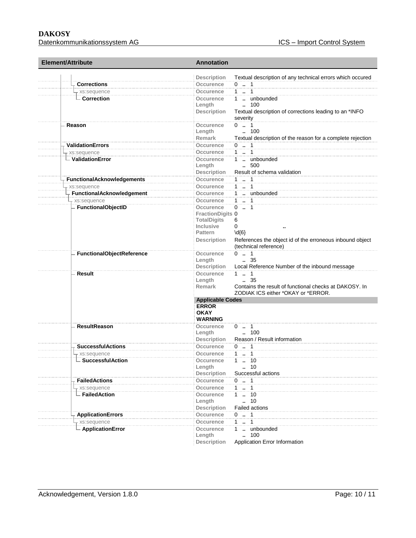# **DAKOSY**

| Element/Attribute                 | <b>Annotation</b>                                                               |  |  |
|-----------------------------------|---------------------------------------------------------------------------------|--|--|
|                                   | Textual description of any technical errors which occured<br><b>Description</b> |  |  |
| <b>Corrections</b>                | $0 \t . 1$<br><b>Occurence</b>                                                  |  |  |
| xs:sequence                       | $1 - 1$<br><b>Occurence</b>                                                     |  |  |
| <b>Correction</b>                 | 1  unbounded<br>Occurence                                                       |  |  |
|                                   | $\ldots$ 100<br>Length                                                          |  |  |
|                                   | <b>Description</b><br>Textual description of corrections leading to an *INFO    |  |  |
|                                   | severity                                                                        |  |  |
| Reason                            | $0 \t  1$<br>Occurence                                                          |  |  |
|                                   | $\ldots$ 100<br>Length                                                          |  |  |
|                                   | <b>Remark</b><br>Textual description of the reason for a complete rejection     |  |  |
| <b>ValidationErrors</b>           | <b>Occurence</b><br>$0 \t  1$<br>$1 - 1$                                        |  |  |
| xs:sequence                       | Occurence                                                                       |  |  |
| - ValidationError                 | 1  unbounded<br>Occurence<br>500<br>Length                                      |  |  |
|                                   | Result of schema validation<br><b>Description</b>                               |  |  |
| <b>FunctionalAcknowledgements</b> | $1 - 1$<br>Occurence                                                            |  |  |
| xs:sequence                       | $1 - 1$<br>Occurence                                                            |  |  |
| FunctionalAcknowledgement         | 1  unbounded<br>Occurence                                                       |  |  |
| r xs:sequence                     | $1 - 1$<br><b>Occurence</b>                                                     |  |  |
| <b>FunctionalObjectID</b>         | $0 \t  1$<br>Occurence                                                          |  |  |
|                                   | <b>FractionDigits 0</b>                                                         |  |  |
|                                   | <b>TotalDigits</b><br>6                                                         |  |  |
|                                   | <b>Inclusive</b><br>0                                                           |  |  |
|                                   | Pattern<br>$\{d\}$                                                              |  |  |
|                                   | References the object id of the erroneous inbound object<br>Description         |  |  |
|                                   | (technical reference)                                                           |  |  |
| <b>FunctionalObjectReference</b>  | $0 \t  1$<br>Occurence                                                          |  |  |
|                                   | $\, 35$<br>Length<br>Description                                                |  |  |
| <b>Result</b>                     | Local Reference Number of the inbound message<br>$1 \t  \t 1$<br>Occurence      |  |  |
|                                   | $\frac{35}{2}$<br>Length                                                        |  |  |
|                                   | Contains the result of functional checks at DAKOSY. In<br>Remark                |  |  |
|                                   | ZODIAK ICS either *OKAY or *ERROR.                                              |  |  |
|                                   | <b>Applicable Codes</b>                                                         |  |  |
|                                   | <b>ERROR</b>                                                                    |  |  |
|                                   | <b>OKAY</b>                                                                     |  |  |
|                                   | <b>WARNING</b>                                                                  |  |  |
| <b>ResultReason</b>               | $0 \t  1$<br>Occurence<br>$\ldots$ 100                                          |  |  |
|                                   | Length<br>Reason / Result information<br><b>Description</b>                     |  |  |
| <b>SuccessfulActions</b>          | $0 \t  1$<br>Occurence                                                          |  |  |
| xs:sequence                       | $1 - 1$<br>Occurence                                                            |  |  |
| <b>SuccessfulAction</b>           | $1 \t  \t 10$<br>Occurence                                                      |  |  |
|                                   | Length<br>10                                                                    |  |  |
|                                   | Successful actions<br><b>Description</b>                                        |  |  |
| <b>FailedActions</b>              | <b>Occurence</b><br>$0 \t  1$                                                   |  |  |
| - xs:sequence                     | $1 - 1$<br>Occurence                                                            |  |  |
| <b>FailedAction</b>               | 110<br>Occurence                                                                |  |  |
|                                   | . 10<br>Length                                                                  |  |  |
|                                   | <b>Failed actions</b><br><b>Description</b>                                     |  |  |
| <b>ApplicationErrors</b>          | $0 - 1$<br>Occurence                                                            |  |  |
| xs:sequence                       | Occurence<br>1 . 1                                                              |  |  |
| ApplicationError                  | Occurence<br>1  unbounded                                                       |  |  |
|                                   | Length<br>$\ldots$ 100<br>Application Error Information<br><b>Description</b>   |  |  |
|                                   |                                                                                 |  |  |